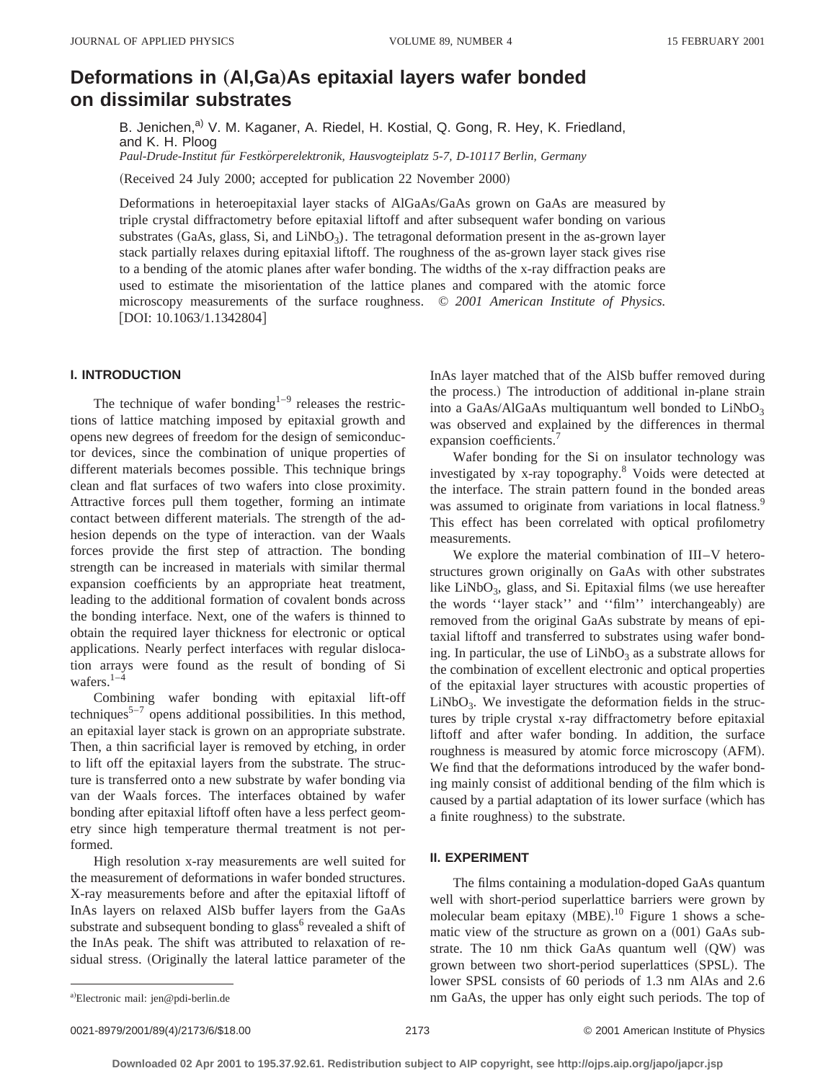# **Deformations in (Al,Ga)As epitaxial layers wafer bonded on dissimilar substrates**

B. Jenichen,<sup>a)</sup> V. M. Kaganer, A. Riedel, H. Kostial, Q. Gong, R. Hey, K. Friedland, and K. H. Ploog *Paul-Drude-Institut fu¨r Festko¨rperelektronik, Hausvogteiplatz 5-7, D-10117 Berlin, Germany*

(Received 24 July 2000; accepted for publication 22 November 2000)

Deformations in heteroepitaxial layer stacks of AlGaAs/GaAs grown on GaAs are measured by triple crystal diffractometry before epitaxial liftoff and after subsequent wafer bonding on various substrates  $(GaAs, glass, Si, and LiNbO<sub>3</sub>)$ . The tetragonal deformation present in the as-grown layer stack partially relaxes during epitaxial liftoff. The roughness of the as-grown layer stack gives rise to a bending of the atomic planes after wafer bonding. The widths of the x-ray diffraction peaks are used to estimate the misorientation of the lattice planes and compared with the atomic force microscopy measurements of the surface roughness. © *2001 American Institute of Physics.*  $[DOI: 10.1063/1.1342804]$ 

### **I. INTRODUCTION**

The technique of wafer bonding<sup>1-9</sup> releases the restrictions of lattice matching imposed by epitaxial growth and opens new degrees of freedom for the design of semiconductor devices, since the combination of unique properties of different materials becomes possible. This technique brings clean and flat surfaces of two wafers into close proximity. Attractive forces pull them together, forming an intimate contact between different materials. The strength of the adhesion depends on the type of interaction. van der Waals forces provide the first step of attraction. The bonding strength can be increased in materials with similar thermal expansion coefficients by an appropriate heat treatment, leading to the additional formation of covalent bonds across the bonding interface. Next, one of the wafers is thinned to obtain the required layer thickness for electronic or optical applications. Nearly perfect interfaces with regular dislocation arrays were found as the result of bonding of Si wafers. $1-\frac{4}{4}$ 

Combining wafer bonding with epitaxial lift-off techniques<sup>5–7</sup> opens additional possibilities. In this method, an epitaxial layer stack is grown on an appropriate substrate. Then, a thin sacrificial layer is removed by etching, in order to lift off the epitaxial layers from the substrate. The structure is transferred onto a new substrate by wafer bonding via van der Waals forces. The interfaces obtained by wafer bonding after epitaxial liftoff often have a less perfect geometry since high temperature thermal treatment is not performed.

High resolution x-ray measurements are well suited for the measurement of deformations in wafer bonded structures. X-ray measurements before and after the epitaxial liftoff of InAs layers on relaxed AlSb buffer layers from the GaAs substrate and subsequent bonding to glass<sup>6</sup> revealed a shift of the InAs peak. The shift was attributed to relaxation of residual stress. (Originally the lateral lattice parameter of the

InAs layer matched that of the AlSb buffer removed during the process.) The introduction of additional in-plane strain into a GaAs/AlGaAs multiquantum well bonded to  $LiNbO<sub>3</sub>$ was observed and explained by the differences in thermal expansion coefficients.<sup>7</sup>

Wafer bonding for the Si on insulator technology was investigated by x-ray topography.8 Voids were detected at the interface. The strain pattern found in the bonded areas was assumed to originate from variations in local flatness.<sup>9</sup> This effect has been correlated with optical profilometry measurements.

We explore the material combination of III–V heterostructures grown originally on GaAs with other substrates like LiNbO<sub>3</sub>, glass, and Si. Epitaxial films (we use hereafter the words "layer stack" and "film" interchangeably) are removed from the original GaAs substrate by means of epitaxial liftoff and transferred to substrates using wafer bonding. In particular, the use of  $LiNbO<sub>3</sub>$  as a substrate allows for the combination of excellent electronic and optical properties of the epitaxial layer structures with acoustic properties of  $LiNbO<sub>3</sub>$ . We investigate the deformation fields in the structures by triple crystal x-ray diffractometry before epitaxial liftoff and after wafer bonding. In addition, the surface roughness is measured by atomic force microscopy (AFM). We find that the deformations introduced by the wafer bonding mainly consist of additional bending of the film which is caused by a partial adaptation of its lower surface (which has a finite roughness) to the substrate.

#### **II. EXPERIMENT**

The films containing a modulation-doped GaAs quantum well with short-period superlattice barriers were grown by molecular beam epitaxy (MBE).<sup>10</sup> Figure 1 shows a schematic view of the structure as grown on a  $(001)$  GaAs substrate. The  $10$  nm thick GaAs quantum well  $(QW)$  was grown between two short-period superlattices (SPSL). The lower SPSL consists of 60 periods of 1.3 nm AlAs and 2.6 nm GaAs, the upper has only eight such periods. The top of

a)Electronic mail: jen@pdi-berlin.de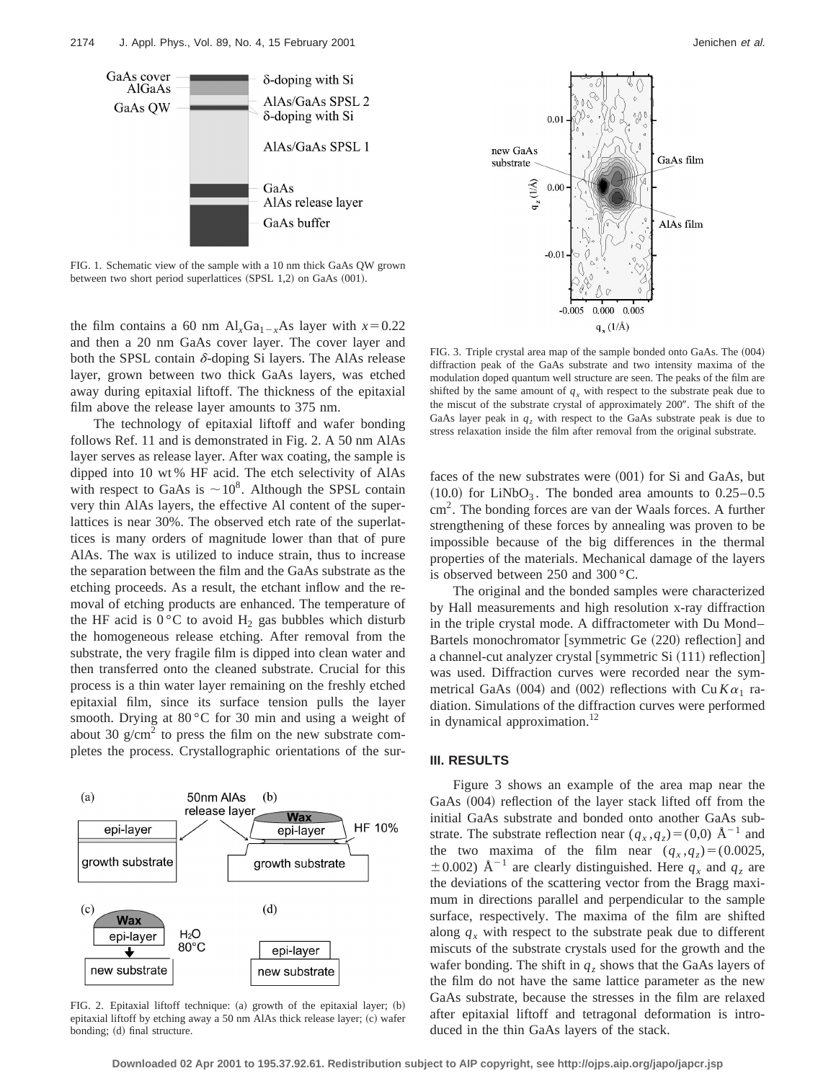

FIG. 1. Schematic view of the sample with a 10 nm thick GaAs QW grown between two short period superlattices (SPSL 1,2) on GaAs (001).

the film contains a 60 nm  $Al_xGa_{1-x}As$  layer with  $x=0.22$ and then a 20 nm GaAs cover layer. The cover layer and both the SPSL contain  $\delta$ -doping Si layers. The AlAs release layer, grown between two thick GaAs layers, was etched away during epitaxial liftoff. The thickness of the epitaxial film above the release layer amounts to 375 nm.

The technology of epitaxial liftoff and wafer bonding follows Ref. 11 and is demonstrated in Fig. 2. A 50 nm AlAs layer serves as release layer. After wax coating, the sample is dipped into 10 wt % HF acid. The etch selectivity of AlAs with respect to GaAs is  $\sim 10^8$ . Although the SPSL contain very thin AlAs layers, the effective Al content of the superlattices is near 30%. The observed etch rate of the superlattices is many orders of magnitude lower than that of pure AlAs. The wax is utilized to induce strain, thus to increase the separation between the film and the GaAs substrate as the etching proceeds. As a result, the etchant inflow and the removal of etching products are enhanced. The temperature of the HF acid is  $0^{\circ}$ C to avoid H<sub>2</sub> gas bubbles which disturb the homogeneous release etching. After removal from the substrate, the very fragile film is dipped into clean water and then transferred onto the cleaned substrate. Crucial for this process is a thin water layer remaining on the freshly etched epitaxial film, since its surface tension pulls the layer smooth. Drying at 80 °C for 30 min and using a weight of about 30  $g/cm<sup>2</sup>$  to press the film on the new substrate completes the process. Crystallographic orientations of the sur-



FIG. 2. Epitaxial liftoff technique:  $(a)$  growth of the epitaxial layer;  $(b)$ epitaxial liftoff by etching away a 50 nm AlAs thick release layer; (c) wafer bonding; (d) final structure.



FIG. 3. Triple crystal area map of the sample bonded onto GaAs. The  $(004)$ diffraction peak of the GaAs substrate and two intensity maxima of the modulation doped quantum well structure are seen. The peaks of the film are shifted by the same amount of  $q_x$  with respect to the substrate peak due to the miscut of the substrate crystal of approximately 200". The shift of the GaAs layer peak in  $q_z$  with respect to the GaAs substrate peak is due to stress relaxation inside the film after removal from the original substrate.

faces of the new substrates were  $(001)$  for Si and GaAs, but  $(10.0)$  for LiNbO<sub>3</sub>. The bonded area amounts to  $0.25-0.5$ cm2. The bonding forces are van der Waals forces. A further strengthening of these forces by annealing was proven to be impossible because of the big differences in the thermal properties of the materials. Mechanical damage of the layers is observed between 250 and 300 °C.

The original and the bonded samples were characterized by Hall measurements and high resolution x-ray diffraction in the triple crystal mode. A diffractometer with Du Mond– Bartels monochromator [symmetric Ge  $(220)$  reflection] and a channel-cut analyzer crystal [symmetric Si  $(111)$  reflection] was used. Diffraction curves were recorded near the symmetrical GaAs (004) and (002) reflections with Cu  $K\alpha_1$  radiation. Simulations of the diffraction curves were performed in dynamical approximation.<sup>12</sup>

#### **III. RESULTS**

Figure 3 shows an example of the area map near the GaAs  $(004)$  reflection of the layer stack lifted off from the initial GaAs substrate and bonded onto another GaAs substrate. The substrate reflection near  $(q_x, q_z)=(0,0)$  Å<sup>-1</sup> and the two maxima of the film near  $(q_x, q_z) = (0.0025,$  $\pm$  0.002) Å<sup>-1</sup> are clearly distinguished. Here  $q_x$  and  $q_z$  are the deviations of the scattering vector from the Bragg maximum in directions parallel and perpendicular to the sample surface, respectively. The maxima of the film are shifted along  $q_x$  with respect to the substrate peak due to different miscuts of the substrate crystals used for the growth and the wafer bonding. The shift in  $q_z$  shows that the GaAs layers of the film do not have the same lattice parameter as the new GaAs substrate, because the stresses in the film are relaxed after epitaxial liftoff and tetragonal deformation is introduced in the thin GaAs layers of the stack.

**Downloaded 02 Apr 2001 to 195.37.92.61. Redistribution subject to AIP copyright, see http://ojps.aip.org/japo/japcr.jsp**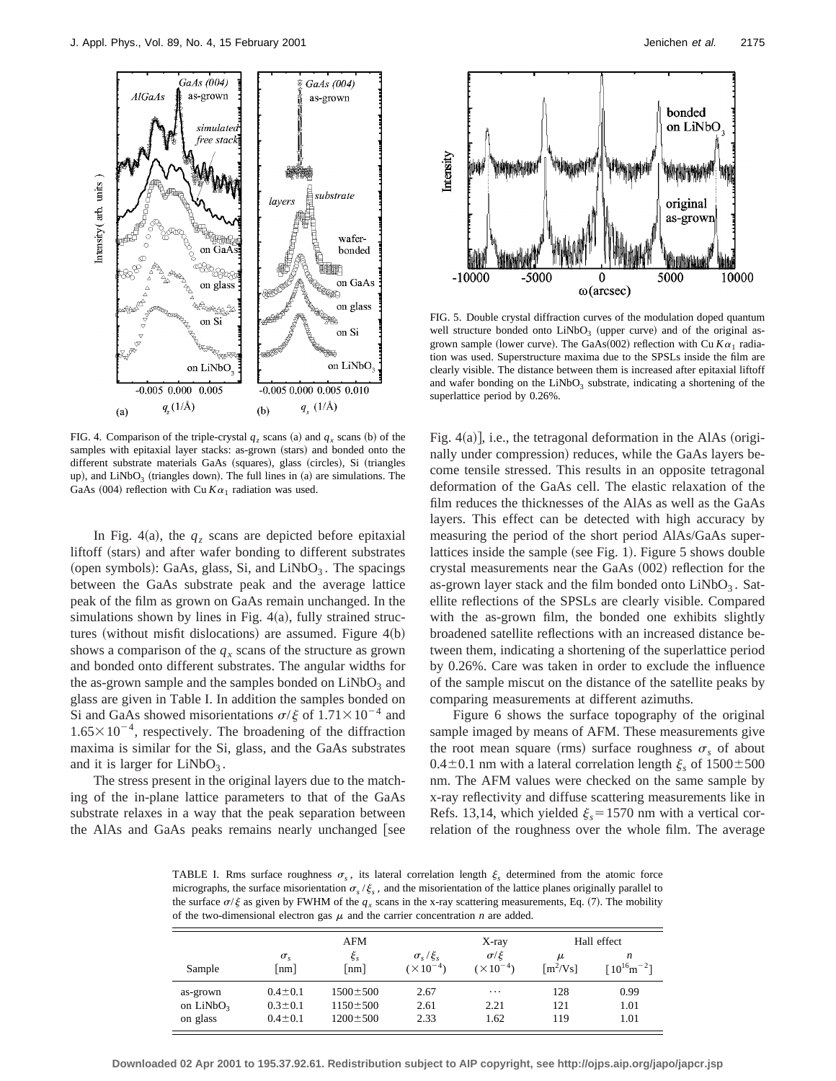

FIG. 4. Comparison of the triple-crystal  $q_z$  scans (a) and  $q_x$  scans (b) of the samples with epitaxial layer stacks: as-grown (stars) and bonded onto the different substrate materials GaAs (squares), glass (circles), Si (triangles up), and  $LiNbO<sub>3</sub>$  (triangles down). The full lines in (a) are simulations. The GaAs (004) reflection with Cu  $K\alpha_1$  radiation was used.

In Fig. 4(a), the  $q<sub>z</sub>$  scans are depicted before epitaxial liftoff (stars) and after wafer bonding to different substrates (open symbols): GaAs, glass, Si, and LiNbO<sub>3</sub>. The spacings between the GaAs substrate peak and the average lattice peak of the film as grown on GaAs remain unchanged. In the simulations shown by lines in Fig.  $4(a)$ , fully strained structures (without misfit dislocations) are assumed. Figure  $4(b)$ shows a comparison of the  $q_x$  scans of the structure as grown and bonded onto different substrates. The angular widths for the as-grown sample and the samples bonded on  $LiNbO<sub>3</sub>$  and glass are given in Table I. In addition the samples bonded on Si and GaAs showed misorientations  $\sigma/\xi$  of  $1.71 \times 10^{-4}$  and  $1.65 \times 10^{-4}$ , respectively. The broadening of the diffraction maxima is similar for the Si, glass, and the GaAs substrates and it is larger for  $LiNbO<sub>3</sub>$ .

The stress present in the original layers due to the matching of the in-plane lattice parameters to that of the GaAs substrate relaxes in a way that the peak separation between the AlAs and GaAs peaks remains nearly unchanged [see



FIG. 5. Double crystal diffraction curves of the modulation doped quantum well structure bonded onto  $LiNbO<sub>3</sub>$  (upper curve) and of the original asgrown sample (lower curve). The GaAs(002) reflection with Cu  $K\alpha_1$  radiation was used. Superstructure maxima due to the SPSLs inside the film are clearly visible. The distance between them is increased after epitaxial liftoff and wafer bonding on the  $LiNbO<sub>3</sub>$  substrate, indicating a shortening of the superlattice period by 0.26%.

Fig.  $4(a)$ , i.e., the tetragonal deformation in the AlAs (originally under compression) reduces, while the GaAs layers become tensile stressed. This results in an opposite tetragonal deformation of the GaAs cell. The elastic relaxation of the film reduces the thicknesses of the AlAs as well as the GaAs layers. This effect can be detected with high accuracy by measuring the period of the short period AlAs/GaAs superlattices inside the sample (see Fig. 1). Figure  $5$  shows double crystal measurements near the GaAs  $(002)$  reflection for the as-grown layer stack and the film bonded onto  $LiNbO<sub>3</sub>$ . Satellite reflections of the SPSLs are clearly visible. Compared with the as-grown film, the bonded one exhibits slightly broadened satellite reflections with an increased distance between them, indicating a shortening of the superlattice period by 0.26%. Care was taken in order to exclude the influence of the sample miscut on the distance of the satellite peaks by comparing measurements at different azimuths.

Figure 6 shows the surface topography of the original sample imaged by means of AFM. These measurements give the root mean square (rms) surface roughness  $\sigma_s$  of about 0.4 $\pm$ 0.1 nm with a lateral correlation length  $\xi_s$  of 1500 $\pm$ 500 nm. The AFM values were checked on the same sample by x-ray reflectivity and diffuse scattering measurements like in Refs. 13,14, which yielded  $\xi_s = 1570$  nm with a vertical correlation of the roughness over the whole film. The average

TABLE I. Rms surface roughness  $\sigma_s$ , its lateral correlation length  $\xi_s$  determined from the atomic force micrographs, the surface misorientation  $\sigma_s/\xi_s$ , and the misorientation of the lattice planes originally parallel to the surface  $\sigma/\xi$  as given by FWHM of the  $q_x$  scans in the x-ray scattering measurements, Eq. (7). The mobility of the two-dimensional electron gas  $\mu$  and the carrier concentration *n* are added.

|             |                          | AFM              |                                            | X-ray                              | Hall effect                 |                        |
|-------------|--------------------------|------------------|--------------------------------------------|------------------------------------|-----------------------------|------------------------|
| Sample      | $\sigma_{\rm c}$<br>[nm] | $\zeta_s$<br> nm | $\sigma_{s}/\xi_{s}$<br>$(\times 10^{-4})$ | $\sigma/\xi$<br>$(\times 10^{-4})$ | μ<br>$\lceil m^2/Vs \rceil$ | n<br>$[10^{16}m^{-2}]$ |
| as-grown    | $0.4 \pm 0.1$            | $1500 \pm 500$   | 2.67                                       | $\cdots$                           | 128                         | 0.99                   |
| on $LiNbO3$ | $0.3 \pm 0.1$            | $1150 \pm 500$   | 2.61                                       | 2.21                               | 121                         | 1.01                   |
| on glass    | $0.4 \pm 0.1$            | $1200 \pm 500$   | 2.33                                       | 1.62                               | 119                         | 1.01                   |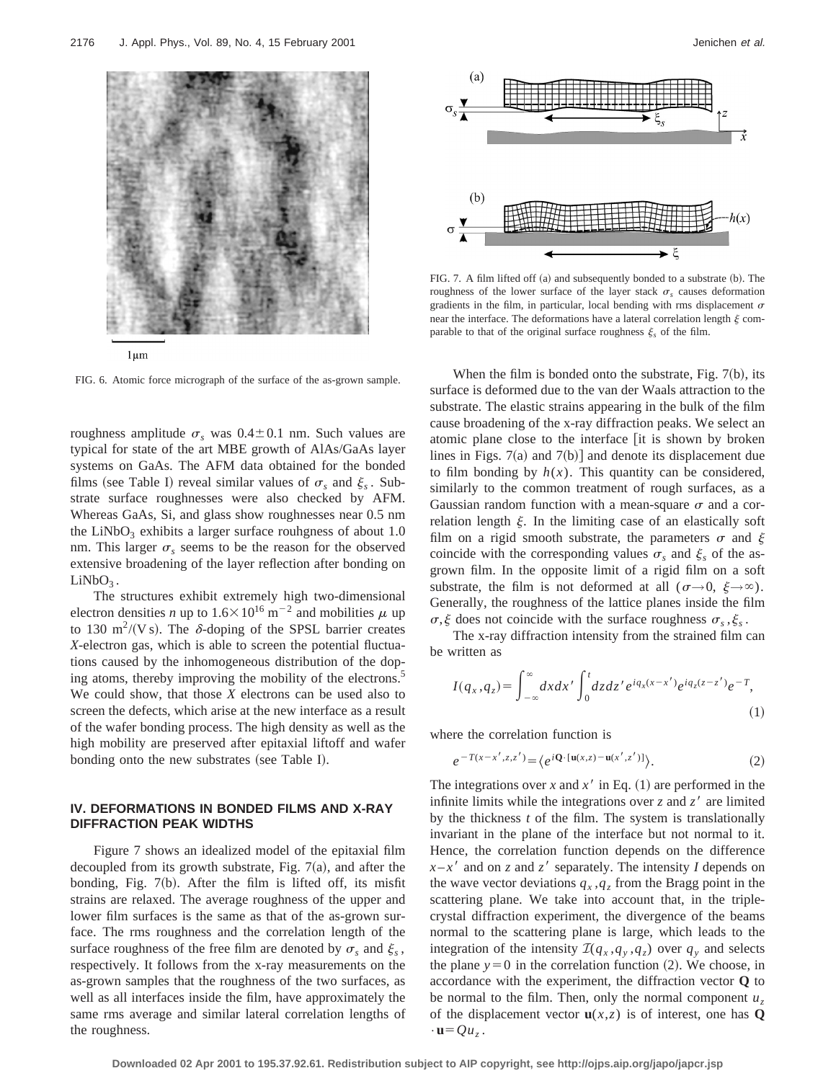

 $1 \mu m$ 

FIG. 6. Atomic force micrograph of the surface of the as-grown sample.

roughness amplitude  $\sigma_s$  was  $0.4 \pm 0.1$  nm. Such values are typical for state of the art MBE growth of AlAs/GaAs layer systems on GaAs. The AFM data obtained for the bonded films (see Table I) reveal similar values of  $\sigma_s$  and  $\xi_s$ . Substrate surface roughnesses were also checked by AFM. Whereas GaAs, Si, and glass show roughnesses near 0.5 nm the LiNbO<sub>3</sub> exhibits a larger surface rouhgness of about  $1.0$ nm. This larger  $\sigma_s$  seems to be the reason for the observed extensive broadening of the layer reflection after bonding on  $LiNbO<sub>3</sub>$ .

The structures exhibit extremely high two-dimensional electron densities *n* up to  $1.6 \times 10^{16}$  m<sup>-2</sup> and mobilities  $\mu$  up to 130 m<sup>2</sup>/(V s). The  $\delta$ -doping of the SPSL barrier creates *X*-electron gas, which is able to screen the potential fluctuations caused by the inhomogeneous distribution of the doping atoms, thereby improving the mobility of the electrons.<sup>5</sup> We could show, that those *X* electrons can be used also to screen the defects, which arise at the new interface as a result of the wafer bonding process. The high density as well as the high mobility are preserved after epitaxial liftoff and wafer bonding onto the new substrates (see Table I).

## **IV. DEFORMATIONS IN BONDED FILMS AND X-RAY DIFFRACTION PEAK WIDTHS**

Figure 7 shows an idealized model of the epitaxial film decoupled from its growth substrate, Fig.  $7(a)$ , and after the bonding, Fig.  $7(b)$ . After the film is lifted off, its misfit strains are relaxed. The average roughness of the upper and lower film surfaces is the same as that of the as-grown surface. The rms roughness and the correlation length of the surface roughness of the free film are denoted by  $\sigma_s$  and  $\xi_s$ , respectively. It follows from the x-ray measurements on the as-grown samples that the roughness of the two surfaces, as well as all interfaces inside the film, have approximately the same rms average and similar lateral correlation lengths of the roughness.



FIG. 7. A film lifted off  $(a)$  and subsequently bonded to a substrate  $(b)$ . The roughness of the lower surface of the layer stack  $\sigma_s$  causes deformation gradients in the film, in particular, local bending with rms displacement  $\sigma$ near the interface. The deformations have a lateral correlation length  $\xi$  comparable to that of the original surface roughness  $\xi_s$  of the film.

When the film is bonded onto the substrate, Fig.  $7(b)$ , its surface is deformed due to the van der Waals attraction to the substrate. The elastic strains appearing in the bulk of the film cause broadening of the x-ray diffraction peaks. We select an atomic plane close to the interface lit is shown by broken lines in Figs.  $7(a)$  and  $7(b)$ ] and denote its displacement due to film bonding by  $h(x)$ . This quantity can be considered, similarly to the common treatment of rough surfaces, as a Gaussian random function with a mean-square  $\sigma$  and a correlation length  $\xi$ . In the limiting case of an elastically soft film on a rigid smooth substrate, the parameters  $\sigma$  and  $\xi$ coincide with the corresponding values  $\sigma_s$  and  $\xi_s$  of the asgrown film. In the opposite limit of a rigid film on a soft substrate, the film is not deformed at all  $(\sigma \rightarrow 0, \xi \rightarrow \infty)$ . Generally, the roughness of the lattice planes inside the film  $\sigma$ ,  $\xi$  does not coincide with the surface roughness  $\sigma$ ,  $\xi$ .

The x-ray diffraction intensity from the strained film can be written as

$$
I(q_x, q_z) = \int_{-\infty}^{\infty} dx dx' \int_0^t dz dz' e^{iq_x(x-x')} e^{iq_z(z-z')} e^{-T}, \tag{1}
$$

where the correlation function is

$$
e^{-T(x-x',z,z')} = \langle e^{i\mathbf{Q}\cdot[\mathbf{u}(x,z)-\mathbf{u}(x',z')]}\rangle.
$$
 (2)

The integrations over *x* and  $x<sup>3</sup>$  in Eq. (1) are performed in the infinite limits while the integrations over  $z$  and  $z<sup>3</sup>$  are limited by the thickness *t* of the film. The system is translationally invariant in the plane of the interface but not normal to it. Hence, the correlation function depends on the difference  $x-x'$  and on *z* and *z'* separately. The intensity *I* depends on the wave vector deviations  $q_x, q_z$  from the Bragg point in the scattering plane. We take into account that, in the triplecrystal diffraction experiment, the divergence of the beams normal to the scattering plane is large, which leads to the integration of the intensity  $\mathcal{I}(q_x, q_y, q_z)$  over  $q_y$  and selects the plane  $y=0$  in the correlation function  $(2)$ . We choose, in accordance with the experiment, the diffraction vector **Q** to be normal to the film. Then, only the normal component  $u_7$ of the displacement vector  $\mathbf{u}(x, z)$  is of interest, one has **Q**  $\cdot$ **u**= $Qu_z$ .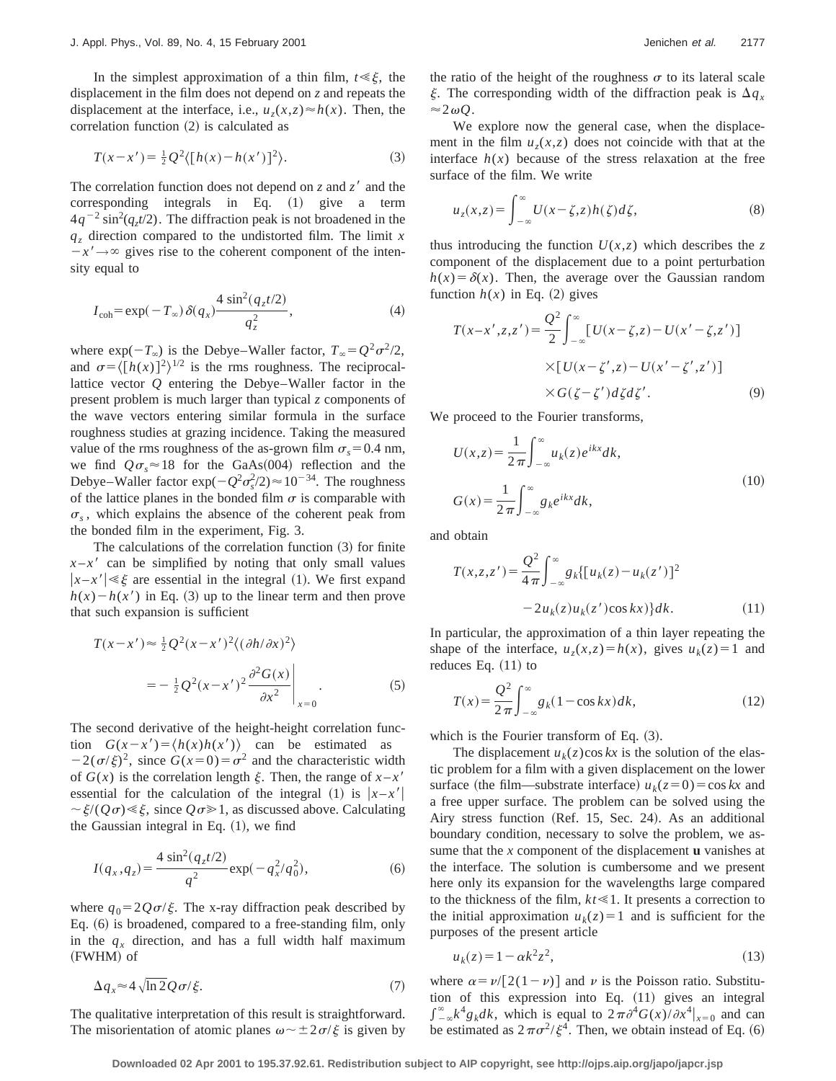In the simplest approximation of a thin film,  $t \leq \xi$ , the displacement in the film does not depend on *z* and repeats the displacement at the interface, i.e.,  $u_7(x,z) \approx h(x)$ . Then, the correlation function  $(2)$  is calculated as

$$
T(x - x') = \frac{1}{2} Q^2 \langle [h(x) - h(x')]^2 \rangle.
$$
 (3)

The correlation function does not depend on  $z$  and  $z'$  and the corresponding integrals in Eq.  $(1)$  give a term  $4q^{-2} \sin^2(q_z t/2)$ . The diffraction peak is not broadened in the  $q<sub>z</sub>$  direction compared to the undistorted film. The limit *x*  $-x' \rightarrow \infty$  gives rise to the coherent component of the intensity equal to

$$
I_{\text{coh}} = \exp(-T_{\infty})\,\delta(q_x) \frac{4\,\sin^2(q_z t/2)}{q_z^2},\tag{4}
$$

where  $\exp(-T_\infty)$  is the Debye–Waller factor,  $T_\infty = Q^2 \sigma^2/2$ , and  $\sigma = \langle [h(x)]^2 \rangle^{1/2}$  is the rms roughness. The reciprocallattice vector *Q* entering the Debye–Waller factor in the present problem is much larger than typical *z* components of the wave vectors entering similar formula in the surface roughness studies at grazing incidence. Taking the measured value of the rms roughness of the as-grown film  $\sigma_s = 0.4$  nm, we find  $Q\sigma_s \approx 18$  for the GaAs(004) reflection and the Debye–Waller factor  $\exp(-Q^2 \sigma_s^2/2) \approx 10^{-34}$ . The roughness of the lattice planes in the bonded film  $\sigma$  is comparable with  $\sigma_s$ , which explains the absence of the coherent peak from the bonded film in the experiment, Fig. 3.

The calculations of the correlation function  $(3)$  for finite  $x - x'$  can be simplified by noting that only small values  $|x-x'| \leq \xi$  are essential in the integral (1). We first expand  $h(x) - h(x')$  in Eq. (3) up to the linear term and then prove that such expansion is sufficient

$$
T(x-x') \approx \frac{1}{2} Q^2 (x-x')^2 \langle (\partial h/\partial x)^2 \rangle
$$
  
=  $-\frac{1}{2} Q^2 (x-x')^2 \frac{\partial^2 G(x)}{\partial x^2}\Big|_{x=0}$  (5)

The second derivative of the height-height correlation function  $G(x-x') = \langle h(x)h(x') \rangle$  can be estimated as  $-2(\sigma/\xi)^2$ , since  $G(x=0) = \sigma^2$  and the characteristic width of  $G(x)$  is the correlation length  $\xi$ . Then, the range of  $x - x'$ essential for the calculation of the integral (1) is  $|x-x'|$  $\sim \xi/(Q\sigma) \ll \xi$ , since  $Q\sigma \gg 1$ , as discussed above. Calculating the Gaussian integral in Eq.  $(1)$ , we find

$$
I(q_x, q_z) = \frac{4 \sin^2(q_z t/2)}{q^2} \exp(-q_x^2/q_0^2),
$$
 (6)

where  $q_0 = 2Q\sigma/\xi$ . The x-ray diffraction peak described by Eq.  $(6)$  is broadened, compared to a free-standing film, only in the  $q_x$  direction, and has a full width half maximum (FWHM) of

$$
\Delta q_x \approx 4\sqrt{\ln 2} Q \sigma / \xi. \tag{7}
$$

The qualitative interpretation of this result is straightforward. The misorientation of atomic planes  $\omega \sim \pm 2\sigma/\xi$  is given by the ratio of the height of the roughness  $\sigma$  to its lateral scale  $\xi$ . The corresponding width of the diffraction peak is  $\Delta q_x$  $\approx$ 2 $\omega Q$ .

We explore now the general case, when the displacement in the film  $u_7(x,z)$  does not coincide with that at the interface  $h(x)$  because of the stress relaxation at the free surface of the film. We write

$$
u_z(x,z) = \int_{-\infty}^{\infty} U(x-\zeta,z)h(\zeta)d\zeta,
$$
\n(8)

thus introducing the function  $U(x, z)$  which describes the *z* component of the displacement due to a point perturbation  $h(x) = \delta(x)$ . Then, the average over the Gaussian random function  $h(x)$  in Eq. (2) gives

$$
T(x-x',z,z') = \frac{Q^2}{2} \int_{-\infty}^{\infty} [U(x-\zeta,z) - U(x'-\zeta,z')]
$$

$$
\times [U(x-\zeta',z) - U(x'-\zeta',z')]
$$

$$
\times G(\zeta-\zeta')d\zeta d\zeta'.
$$
(9)

We proceed to the Fourier transforms,

$$
U(x,z) = \frac{1}{2\pi} \int_{-\infty}^{\infty} u_k(z) e^{ikx} dk,
$$
  
\n
$$
G(x) = \frac{1}{2\pi} \int_{-\infty}^{\infty} g_k e^{ikx} dk,
$$
\n(10)

and obtain

$$
T(x, z, z') = \frac{Q^2}{4\pi} \int_{-\infty}^{\infty} g_k \{ [u_k(z) - u_k(z')]^2
$$
  
-2u<sub>k</sub>(z)u<sub>k</sub>(z')cos kx) } dk. (11)

In particular, the approximation of a thin layer repeating the shape of the interface,  $u_2(x,z) = h(x)$ , gives  $u_k(z) = 1$  and reduces Eq.  $(11)$  to

$$
T(x) = \frac{Q^2}{2\pi} \int_{-\infty}^{\infty} g_k(1 - \cos kx) dk,
$$
 (12)

which is the Fourier transform of Eq.  $(3)$ .

The displacement  $u_k(z)$ cos *kx* is the solution of the elastic problem for a film with a given displacement on the lower surface (the film—substrate interface)  $u_k(z=0) = \cos kx$  and a free upper surface. The problem can be solved using the Airy stress function (Ref. 15, Sec. 24). As an additional boundary condition, necessary to solve the problem, we assume that the *x* component of the displacement **u** vanishes at the interface. The solution is cumbersome and we present here only its expansion for the wavelengths large compared to the thickness of the film,  $kt \le 1$ . It presents a correction to the initial approximation  $u_k(z) = 1$  and is sufficient for the purposes of the present article

$$
u_k(z) = 1 - \alpha k^2 z^2,\tag{13}
$$

where  $\alpha = \nu/[2(1-\nu)]$  and  $\nu$  is the Poisson ratio. Substitution of this expression into Eq.  $(11)$  gives an integral  $\int_{-\infty}^{\infty} k^4 g_k dk$ , which is equal to  $2\pi \partial^4 G(x)/\partial x^4|_{x=0}$  and can be estimated as  $2\pi\sigma^2/\xi^4$ . Then, we obtain instead of Eq. (6)